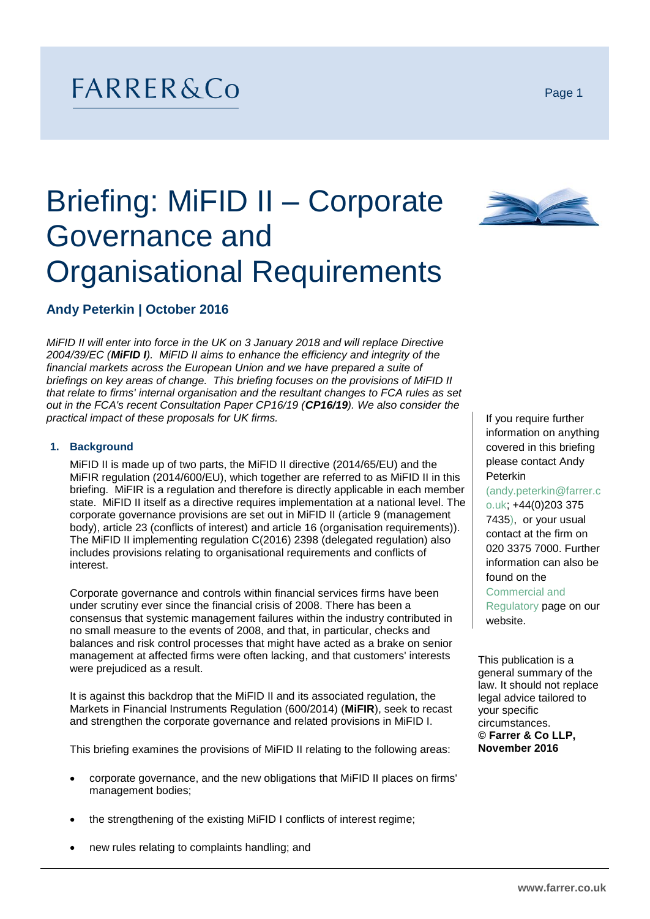## FARRER&Co

# Briefing: MiFID II – Corporate Governance and Organisational Requirements

## **Andy Peterkin | October 2016**

*MiFID II will enter into force in the UK on 3 January 2018 and will replace Directive 2004/39/EC (MiFID I). MiFID II aims to enhance the efficiency and integrity of the financial markets across the European Union and we have prepared a suite of briefings on key areas of change. This briefing focuses on the provisions of MiFID II that relate to firms' internal organisation and the resultant changes to FCA rules as set out in the FCA's recent Consultation Paper CP16/19 (CP16/19). We also consider the practical impact of these proposals for UK firms.*

#### **1. Background**

MiFID II is made up of two parts, the MiFID II directive (2014/65/EU) and the MiFIR regulation (2014/600/EU), which together are referred to as MiFID II in this briefing. MiFIR is a regulation and therefore is directly applicable in each member state. MiFID II itself as a directive requires implementation at a national level. The corporate governance provisions are set out in MiFID II (article 9 (management body), article 23 (conflicts of interest) and article 16 (organisation requirements)). The MiFID II implementing regulation [C\(2016\) 2398](http://ec.europa.eu/finance/securities/docs/isd/mifid/160425-delegated-regulation_en.pdf) (delegated regulation) also includes provisions relating to organisational requirements and conflicts of interest.

Corporate governance and controls within financial services firms have been under scrutiny ever since the financial crisis of 2008. There has been a consensus that systemic management failures within the industry contributed in no small measure to the events of 2008, and that, in particular, checks and balances and risk control processes that might have acted as a brake on senior management at affected firms were often lacking, and that customers' interests were prejudiced as a result.

It is against this backdrop that the MiFID II and its associated regulation, the Markets in Financial Instruments Regulation (600/2014) (**MiFIR**), seek to recast and strengthen the corporate governance and related provisions in MiFID I.

This briefing examines the provisions of MiFID II relating to the following areas:

- corporate governance, and the new obligations that MiFID II places on firms' management bodies;
- the strengthening of the existing MiFID I conflicts of interest regime;
- new rules relating to complaints handling; and



If you require further information on anything covered in this briefing please contact Andy Peterkin

(andy.peterkin@farrer.c o.uk; +44(0)203 375 7435), or your usual contact at the firm on 020 3375 7000. Further information can also be found on the Commercial and Regulatory page on our website.

This publication is a general summary of the law. It should not replace legal advice tailored to your specific circumstances. **© Farrer & Co LLP, November 2016**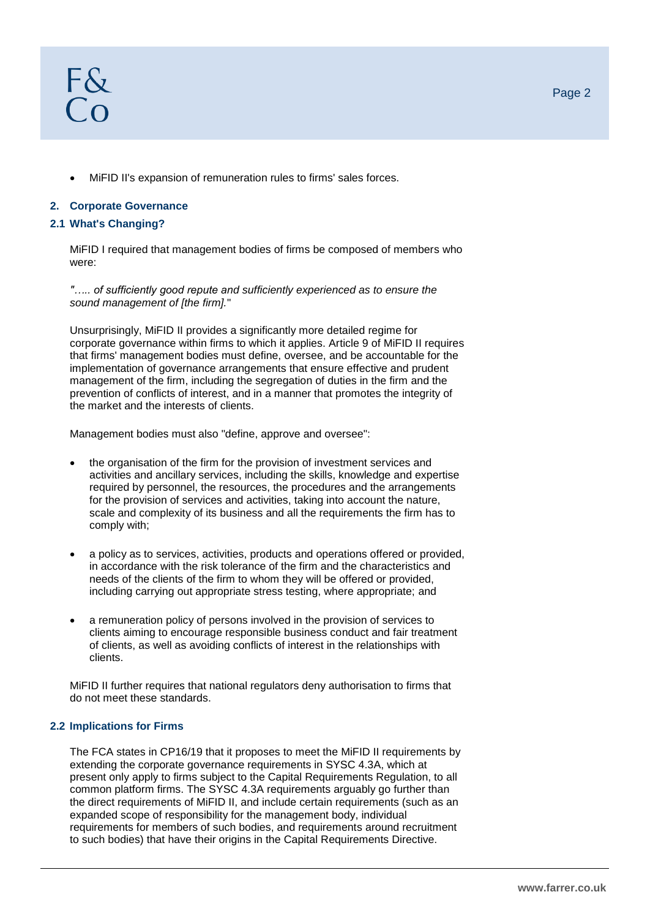MiFID II's expansion of remuneration rules to firms' sales forces.

## **2. Corporate Governance**

#### **2.1 What's Changing?**

MiFID I required that management bodies of firms be composed of members who were:

*"….. of sufficiently good repute and sufficiently experienced as to ensure the sound management of [the firm].*"

Unsurprisingly, MiFID II provides a significantly more detailed regime for corporate governance within firms to which it applies. Article 9 of MiFID II requires that firms' management bodies must define, oversee, and be accountable for the implementation of governance arrangements that ensure effective and prudent management of the firm, including the segregation of duties in the firm and the prevention of conflicts of interest, and in a manner that promotes the integrity of the market and the interests of clients.

Management bodies must also "define, approve and oversee":

- the organisation of the firm for the provision of investment services and activities and ancillary services, including the skills, knowledge and expertise required by personnel, the resources, the procedures and the arrangements for the provision of services and activities, taking into account the nature, scale and complexity of its business and all the requirements the firm has to comply with;
- a policy as to services, activities, products and operations offered or provided, in accordance with the risk tolerance of the firm and the characteristics and needs of the clients of the firm to whom they will be offered or provided, including carrying out appropriate stress testing, where appropriate; and
- a remuneration policy of persons involved in the provision of services to clients aiming to encourage responsible business conduct and fair treatment of clients, as well as avoiding conflicts of interest in the relationships with clients.

MiFID II further requires that national regulators deny authorisation to firms that do not meet these standards.

#### **2.2 Implications for Firms**

The FCA states in CP16/19 that it proposes to meet the MiFID II requirements by extending the corporate governance requirements in SYSC 4.3A, which at present only apply to firms subject to the Capital Requirements Regulation, to all common platform firms. The SYSC 4.3A requirements arguably go further than the direct requirements of MiFID II, and include certain requirements (such as an expanded scope of responsibility for the management body, individual requirements for members of such bodies, and requirements around recruitment to such bodies) that have their origins in the Capital Requirements Directive.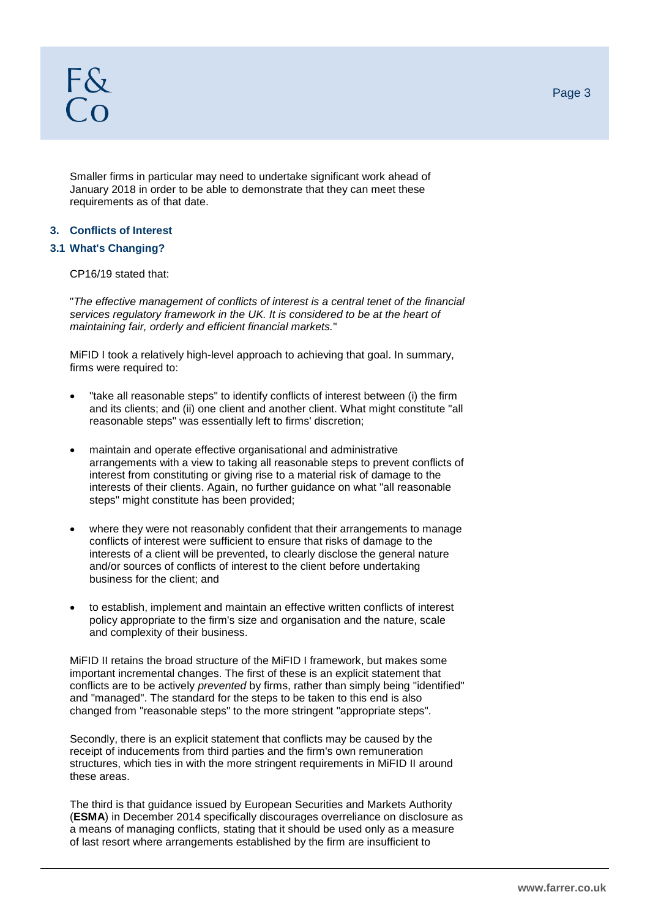Smaller firms in particular may need to undertake significant work ahead of January 2018 in order to be able to demonstrate that they can meet these requirements as of that date.

#### **3. Conflicts of Interest**

## **3.1 What's Changing?**

CP16/19 stated that:

"*The effective management of conflicts of interest is a central tenet of the financial services regulatory framework in the UK. It is considered to be at the heart of maintaining fair, orderly and efficient financial markets.*"

MiFID I took a relatively high-level approach to achieving that goal. In summary, firms were required to:

- "take all reasonable steps" to identify conflicts of interest between (i) the firm and its clients; and (ii) one client and another client. What might constitute "all reasonable steps" was essentially left to firms' discretion;
- maintain and operate effective organisational and administrative arrangements with a view to taking all reasonable steps to prevent conflicts of interest from constituting or giving rise to a material risk of damage to the interests of their clients. Again, no further guidance on what "all reasonable steps" might constitute has been provided;
- where they were not reasonably confident that their arrangements to manage conflicts of interest were sufficient to ensure that risks of damage to the interests of a client will be prevented, to clearly disclose the general nature and/or sources of conflicts of interest to the client before undertaking business for the client; and
- to establish, implement and maintain an effective written conflicts of interest policy appropriate to the firm's size and organisation and the nature, scale and complexity of their business.

MiFID II retains the broad structure of the MiFID I framework, but makes some important incremental changes. The first of these is an explicit statement that conflicts are to be actively *prevented* by firms, rather than simply being "identified" and "managed". The standard for the steps to be taken to this end is also changed from "reasonable steps" to the more stringent "appropriate steps".

Secondly, there is an explicit statement that conflicts may be caused by the receipt of inducements from third parties and the firm's own remuneration structures, which ties in with the more stringent requirements in MiFID II around these areas.

The third is that guidance issued by European Securities and Markets Authority (**ESMA**) in December 2014 specifically discourages overreliance on disclosure as a means of managing conflicts, stating that it should be used only as a measure of last resort where arrangements established by the firm are insufficient to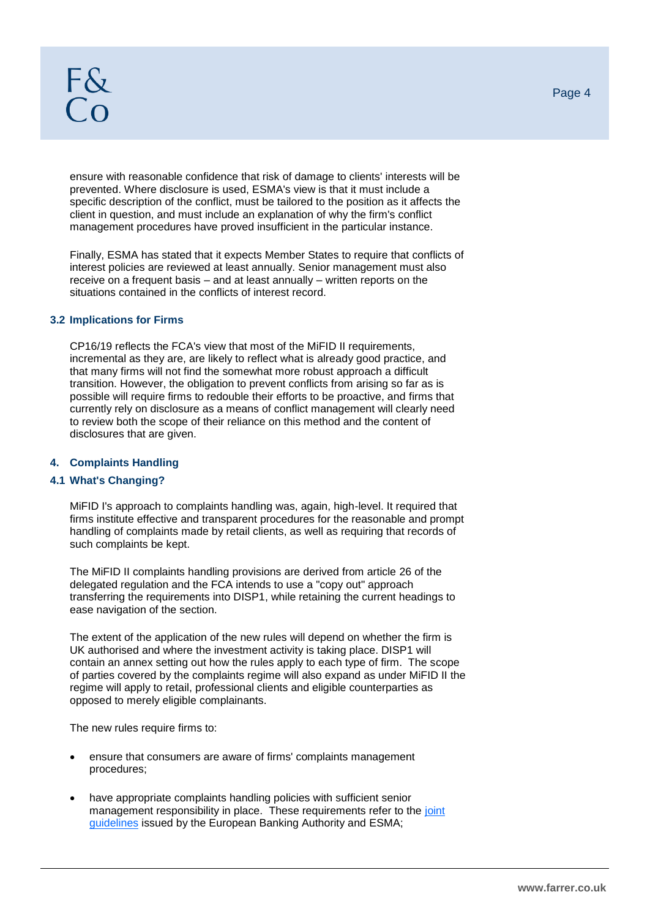ensure with reasonable confidence that risk of damage to clients' interests will be prevented. Where disclosure is used, ESMA's view is that it must include a specific description of the conflict, must be tailored to the position as it affects the client in question, and must include an explanation of why the firm's conflict management procedures have proved insufficient in the particular instance.

Finally, ESMA has stated that it expects Member States to require that conflicts of interest policies are reviewed at least annually. Senior management must also receive on a frequent basis – and at least annually – written reports on the situations contained in the conflicts of interest record.

#### **3.2 Implications for Firms**

CP16/19 reflects the FCA's view that most of the MiFID II requirements, incremental as they are, are likely to reflect what is already good practice, and that many firms will not find the somewhat more robust approach a difficult transition. However, the obligation to prevent conflicts from arising so far as is possible will require firms to redouble their efforts to be proactive, and firms that currently rely on disclosure as a means of conflict management will clearly need to review both the scope of their reliance on this method and the content of disclosures that are given.

#### **4. Complaints Handling**

#### **4.1 What's Changing?**

MiFID I's approach to complaints handling was, again, high-level. It required that firms institute effective and transparent procedures for the reasonable and prompt handling of complaints made by retail clients, as well as requiring that records of such complaints be kept.

The MiFID II complaints handling provisions are derived from article 26 of the delegated regulation and the FCA intends to use a "copy out" approach transferring the requirements into DISP1, while retaining the current headings to ease navigation of the section.

The extent of the application of the new rules will depend on whether the firm is UK authorised and where the investment activity is taking place. DISP1 will contain an annex setting out how the rules apply to each type of firm. The scope of parties covered by the complaints regime will also expand as under MiFID II the regime will apply to retail, professional clients and eligible counterparties as opposed to merely eligible complainants.

The new rules require firms to:

- ensure that consumers are aware of firms' complaints management procedures;
- have appropriate complaints handling policies with sufficient senior management responsibility in place. These requirements refer to the joint [guidelines](https://www.eba.europa.eu/documents/10180/732334/JC+2014+43+-+Joint+Committee+-+Final+report+complaints-handling+guidelines.pdf/312b02a6-3346-4dff-a3c4-41c987484e75) issued by the European Banking Authority and ESMA;